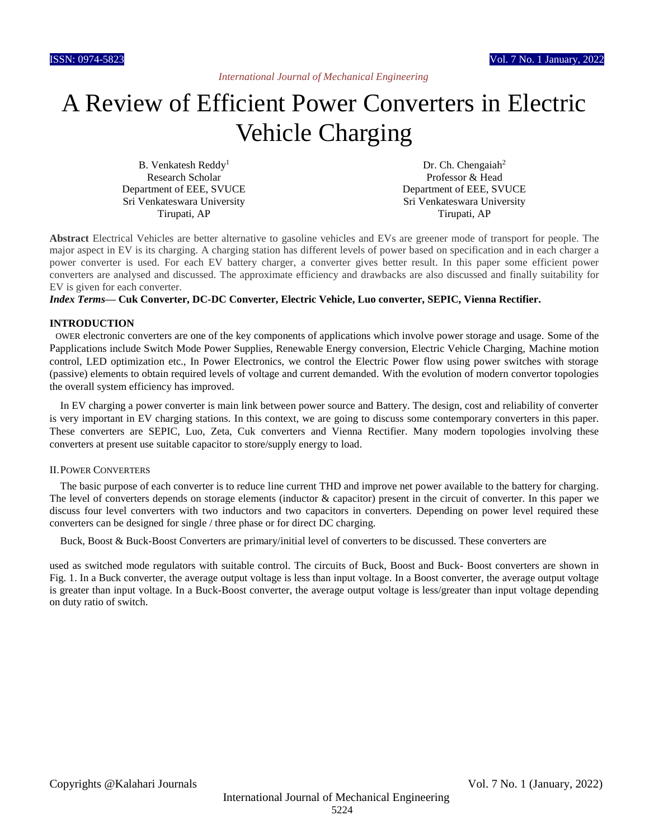# A Review of Efficient Power Converters in Electric Vehicle Charging

B. Venkatesh Reddy<sup>1</sup> Research Scholar Department of EEE, SVUCE Sri Venkateswara University Tirupati, AP

Dr. Ch. Chengaiah<sup>2</sup> Professor & Head Department of EEE, SVUCE Sri Venkateswara University Tirupati, AP

**Abstract** Electrical Vehicles are better alternative to gasoline vehicles and EVs are greener mode of transport for people. The major aspect in EV is its charging. A charging station has different levels of power based on specification and in each charger a power converter is used. For each EV battery charger, a converter gives better result. In this paper some efficient power converters are analysed and discussed. The approximate efficiency and drawbacks are also discussed and finally suitability for EV is given for each converter.

## *Index Terms***— Cuk Converter, DC-DC Converter, Electric Vehicle, Luo converter, SEPIC, Vienna Rectifier.**

## **INTRODUCTION<sup>1</sup>**

OWER electronic converters are one of the key components of applications which involve power storage and usage. Some of the Papplications include Switch Mode Power Supplies, Renewable Energy conversion, Electric Vehicle Charging, Machine motion control, LED optimization etc., In Power Electronics, we control the Electric Power flow using power switches with storage (passive) elements to obtain required levels of voltage and current demanded. With the evolution of modern convertor topologies the overall system efficiency has improved.

In EV charging a power converter is main link between power source and Battery. The design, cost and reliability of converter is very important in EV charging stations. In this context, we are going to discuss some contemporary converters in this paper. These converters are SEPIC, Luo, Zeta, Cuk converters and Vienna Rectifier. Many modern topologies involving these converters at present use suitable capacitor to store/supply energy to load.

## II.POWER CONVERTERS

The basic purpose of each converter is to reduce line current THD and improve net power available to the battery for charging. The level of converters depends on storage elements (inductor & capacitor) present in the circuit of converter. In this paper we discuss four level converters with two inductors and two capacitors in converters. Depending on power level required these converters can be designed for single / three phase or for direct DC charging.

Buck, Boost & Buck-Boost Converters are primary/initial level of converters to be discussed. These converters are

used as switched mode regulators with suitable control. The circuits of Buck, Boost and Buck- Boost converters are shown in Fig. 1. In a Buck converter, the average output voltage is less than input voltage. In a Boost converter, the average output voltage is greater than input voltage. In a Buck-Boost converter, the average output voltage is less/greater than input voltage depending on duty ratio of switch.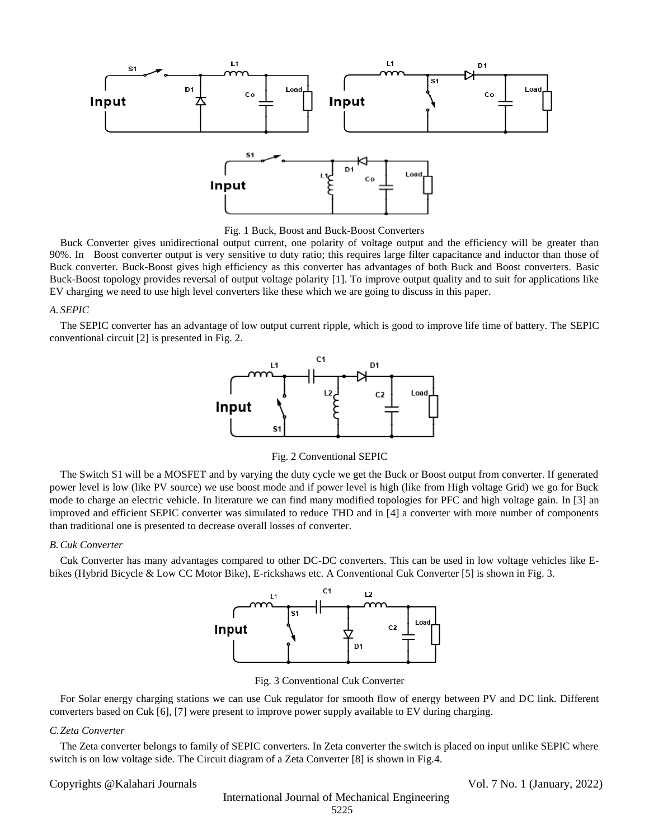

Fig. 1 Buck, Boost and Buck-Boost Converters

Buck Converter gives unidirectional output current, one polarity of voltage output and the efficiency will be greater than 90%. In Boost converter output is very sensitive to duty ratio; this requires large filter capacitance and inductor than those of Buck converter. Buck-Boost gives high efficiency as this converter has advantages of both Buck and Boost converters. Basic Buck-Boost topology provides reversal of output voltage polarity [1]. To improve output quality and to suit for applications like EV charging we need to use high level converters like these which we are going to discuss in this paper.

## *A. SEPIC*

The SEPIC converter has an advantage of low output current ripple, which is good to improve life time of battery. The SEPIC conventional circuit [2] is presented in Fig. 2.



Fig. 2 Conventional SEPIC

The Switch S1 will be a MOSFET and by varying the duty cycle we get the Buck or Boost output from converter. If generated power level is low (like PV source) we use boost mode and if power level is high (like from High voltage Grid) we go for Buck mode to charge an electric vehicle. In literature we can find many modified topologies for PFC and high voltage gain. In [3] an improved and efficient SEPIC converter was simulated to reduce THD and in [4] a converter with more number of components than traditional one is presented to decrease overall losses of converter.

## *B.Cuk Converter*

Cuk Converter has many advantages compared to other DC-DC converters. This can be used in low voltage vehicles like Ebikes (Hybrid Bicycle & Low CC Motor Bike), E-rickshaws etc. A Conventional Cuk Converter [5] is shown in Fig. 3.



Fig. 3 Conventional Cuk Converter

For Solar energy charging stations we can use Cuk regulator for smooth flow of energy between PV and DC link. Different converters based on Cuk [6], [7] were present to improve power supply available to EV during charging.

## *C.Zeta Converter*

The Zeta converter belongs to family of SEPIC converters. In Zeta converter the switch is placed on input unlike SEPIC where switch is on low voltage side. The Circuit diagram of a Zeta Converter [8] is shown in Fig.4.

Copyrights @Kalahari Journals Vol. 7 No. 1 (January, 2022)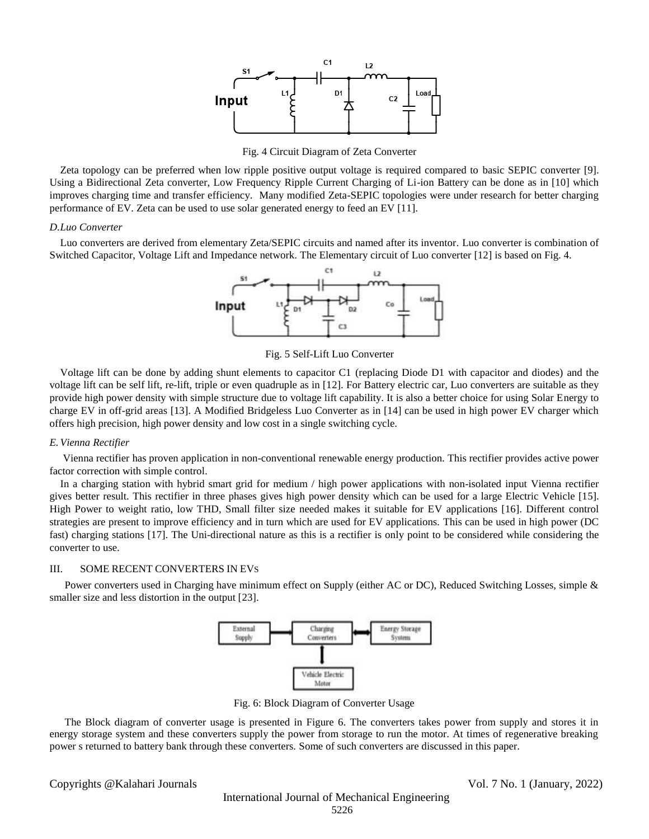

Fig. 4 Circuit Diagram of Zeta Converter

Zeta topology can be preferred when low ripple positive output voltage is required compared to basic SEPIC converter [9]. Using a Bidirectional Zeta converter, Low Frequency Ripple Current Charging of Li-ion Battery can be done as in [10] which improves charging time and transfer efficiency. Many modified Zeta-SEPIC topologies were under research for better charging performance of EV. Zeta can be used to use solar generated energy to feed an EV [11].

## *D.Luo Converter*

Luo converters are derived from elementary Zeta/SEPIC circuits and named after its inventor. Luo converter is combination of Switched Capacitor, Voltage Lift and Impedance network. The Elementary circuit of Luo converter [12] is based on Fig. 4.



Fig. 5 Self-Lift Luo Converter

Voltage lift can be done by adding shunt elements to capacitor C1 (replacing Diode D1 with capacitor and diodes) and the voltage lift can be self lift, re-lift, triple or even quadruple as in [12]. For Battery electric car, Luo converters are suitable as they provide high power density with simple structure due to voltage lift capability. It is also a better choice for using Solar Energy to charge EV in off-grid areas [13]. A Modified Bridgeless Luo Converter as in [14] can be used in high power EV charger which offers high precision, high power density and low cost in a single switching cycle.

## *E.Vienna Rectifier*

Vienna rectifier has proven application in non-conventional renewable energy production. This rectifier provides active power factor correction with simple control.

In a charging station with hybrid smart grid for medium / high power applications with non-isolated input Vienna rectifier gives better result. This rectifier in three phases gives high power density which can be used for a large Electric Vehicle [15]. High Power to weight ratio, low THD, Small filter size needed makes it suitable for EV applications [16]. Different control strategies are present to improve efficiency and in turn which are used for EV applications. This can be used in high power (DC fast) charging stations [17]. The Uni-directional nature as this is a rectifier is only point to be considered while considering the converter to use.

## III. SOME RECENT CONVERTERS IN EVS

Power converters used in Charging have minimum effect on Supply (either AC or DC), Reduced Switching Losses, simple & smaller size and less distortion in the output [23].



Fig. 6: Block Diagram of Converter Usage

The Block diagram of converter usage is presented in Figure 6. The converters takes power from supply and stores it in energy storage system and these converters supply the power from storage to run the motor. At times of regenerative breaking power s returned to battery bank through these converters. Some of such converters are discussed in this paper.

Copyrights @Kalahari Journals Vol. 7 No. 1 (January, 2022)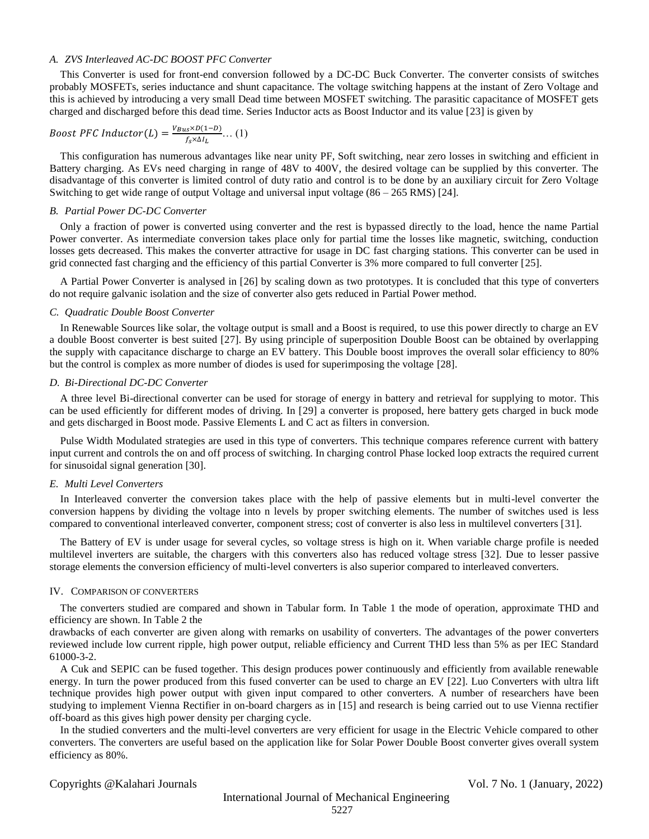## *A. ZVS Interleaved AC-DC BOOST PFC Converter*

This Converter is used for front-end conversion followed by a DC-DC Buck Converter. The converter consists of switches probably MOSFETs, series inductance and shunt capacitance. The voltage switching happens at the instant of Zero Voltage and this is achieved by introducing a very small Dead time between MOSFET switching. The parasitic capacitance of MOSFET gets charged and discharged before this dead time. Series Inductor acts as Boost Inductor and its value [23] is given by

$$
Boost \, PFC \, Inductor(L) = \frac{V_{Bus} \times D(1-D)}{f_S \times \Delta I_L} \dots (1)
$$

This configuration has numerous advantages like near unity PF, Soft switching, near zero losses in switching and efficient in Battery charging. As EVs need charging in range of 48V to 400V, the desired voltage can be supplied by this converter. The disadvantage of this converter is limited control of duty ratio and control is to be done by an auxiliary circuit for Zero Voltage Switching to get wide range of output Voltage and universal input voltage (86 – 265 RMS) [24].

## *B. Partial Power DC-DC Converter*

Only a fraction of power is converted using converter and the rest is bypassed directly to the load, hence the name Partial Power converter. As intermediate conversion takes place only for partial time the losses like magnetic, switching, conduction losses gets decreased. This makes the converter attractive for usage in DC fast charging stations. This converter can be used in grid connected fast charging and the efficiency of this partial Converter is 3% more compared to full converter [25].

A Partial Power Converter is analysed in [26] by scaling down as two prototypes. It is concluded that this type of converters do not require galvanic isolation and the size of converter also gets reduced in Partial Power method.

## *C. Quadratic Double Boost Converter*

In Renewable Sources like solar, the voltage output is small and a Boost is required, to use this power directly to charge an EV a double Boost converter is best suited [27]. By using principle of superposition Double Boost can be obtained by overlapping the supply with capacitance discharge to charge an EV battery. This Double boost improves the overall solar efficiency to 80% but the control is complex as more number of diodes is used for superimposing the voltage [28].

## *D. Bi-Directional DC-DC Converter*

A three level Bi-directional converter can be used for storage of energy in battery and retrieval for supplying to motor. This can be used efficiently for different modes of driving. In [29] a converter is proposed, here battery gets charged in buck mode and gets discharged in Boost mode. Passive Elements L and C act as filters in conversion.

Pulse Width Modulated strategies are used in this type of converters. This technique compares reference current with battery input current and controls the on and off process of switching. In charging control Phase locked loop extracts the required current for sinusoidal signal generation [30].

## *E. Multi Level Converters*

In Interleaved converter the conversion takes place with the help of passive elements but in multi-level converter the conversion happens by dividing the voltage into n levels by proper switching elements. The number of switches used is less compared to conventional interleaved converter, component stress; cost of converter is also less in multilevel converters [31].

The Battery of EV is under usage for several cycles, so voltage stress is high on it. When variable charge profile is needed multilevel inverters are suitable, the chargers with this converters also has reduced voltage stress [32]. Due to lesser passive storage elements the conversion efficiency of multi-level converters is also superior compared to interleaved converters.

#### IV. COMPARISON OF CONVERTERS

The converters studied are compared and shown in Tabular form. In Table 1 the mode of operation, approximate THD and efficiency are shown. In Table 2 the

drawbacks of each converter are given along with remarks on usability of converters. The advantages of the power converters reviewed include low current ripple, high power output, reliable efficiency and Current THD less than 5% as per IEC Standard 61000-3-2.

A Cuk and SEPIC can be fused together. This design produces power continuously and efficiently from available renewable energy. In turn the power produced from this fused converter can be used to charge an EV [22]. Luo Converters with ultra lift technique provides high power output with given input compared to other converters. A number of researchers have been studying to implement Vienna Rectifier in on-board chargers as in [15] and research is being carried out to use Vienna rectifier off-board as this gives high power density per charging cycle.

In the studied converters and the multi-level converters are very efficient for usage in the Electric Vehicle compared to other converters. The converters are useful based on the application like for Solar Power Double Boost converter gives overall system efficiency as 80%.

Copyrights @Kalahari Journals Vol. 7 No. 1 (January, 2022)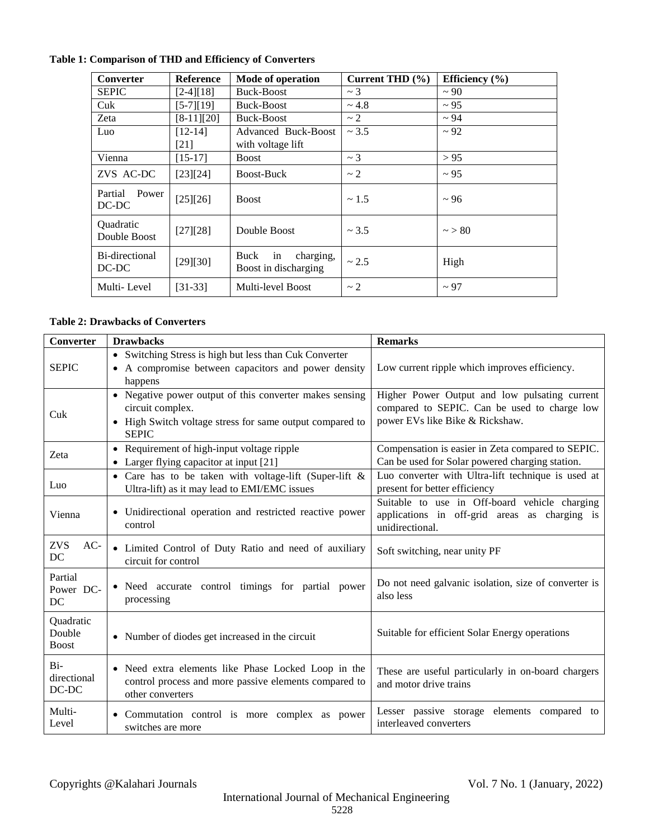| Converter                 | <b>Reference</b> | Mode of operation                               | Current THD $(\% )$ | Efficiency $(\% )$ |
|---------------------------|------------------|-------------------------------------------------|---------------------|--------------------|
| <b>SEPIC</b>              | $[2-4][18]$      | Buck-Boost                                      | $\sim$ 3            | $\sim$ 90          |
| Cuk                       | $[5-7][19]$      | Buck-Boost                                      | ~1.8                | $\sim$ 95          |
| Zeta                      | $[8-11][20]$     | Buck-Boost                                      | $\sim$ 2            | $~1$ 94            |
| Luo                       | $[12-14]$        | Advanced Buck-Boost                             | ~2.5                | ~2                 |
|                           | $[21]$           | with voltage lift                               |                     |                    |
| Vienna                    | $[15-17]$        | <b>Boost</b>                                    | $\sim$ 3            | > 95               |
| ZVS AC-DC                 | [23][24]         | Boost-Buck                                      | $\sim$ 2            | $\sim$ 95          |
| Power<br>Partial<br>DC-DC | [25][26]         | <b>Boost</b>                                    | ~1.5                | $~\sim$ 96         |
| Quadratic<br>Double Boost | [27][28]         | Double Boost                                    | ~1.5                | $\sim$ > 80        |
| Bi-directional<br>DC-DC   | [29][30]         | Buck<br>charging,<br>in<br>Boost in discharging | ~2.5                | High               |
| Multi-Level               | $[31-33]$        | Multi-level Boost                               | $\sim$ 2            | $\sim$ 97          |

# **Table 1: Comparison of THD and Efficiency of Converters**

## **Table 2: Drawbacks of Converters**

| <b>Converter</b>                    | <b>Drawbacks</b>                                                                                                                                        | <b>Remarks</b>                                                                                                                   |  |
|-------------------------------------|---------------------------------------------------------------------------------------------------------------------------------------------------------|----------------------------------------------------------------------------------------------------------------------------------|--|
| <b>SEPIC</b>                        | • Switching Stress is high but less than Cuk Converter<br>• A compromise between capacitors and power density<br>happens                                | Low current ripple which improves efficiency.                                                                                    |  |
| Cuk                                 | • Negative power output of this converter makes sensing<br>circuit complex.<br>• High Switch voltage stress for same output compared to<br><b>SEPIC</b> | Higher Power Output and low pulsating current<br>compared to SEPIC. Can be used to charge low<br>power EVs like Bike & Rickshaw. |  |
| Zeta                                | • Requirement of high-input voltage ripple<br>• Larger flying capacitor at input [21]                                                                   | Compensation is easier in Zeta compared to SEPIC.<br>Can be used for Solar powered charging station.                             |  |
| Luo                                 | • Care has to be taken with voltage-lift (Super-lift $\&$<br>Ultra-lift) as it may lead to EMI/EMC issues                                               | Luo converter with Ultra-lift technique is used at<br>present for better efficiency                                              |  |
| Vienna                              | • Unidirectional operation and restricted reactive power<br>control                                                                                     | Suitable to use in Off-board vehicle charging<br>applications in off-grid areas as charging is<br>unidirectional.                |  |
| $AC-$<br>ZVS<br>DC                  | • Limited Control of Duty Ratio and need of auxiliary<br>circuit for control                                                                            | Soft switching, near unity PF                                                                                                    |  |
| Partial<br>Power DC-<br>DC          | • Need accurate control timings for partial power<br>processing                                                                                         | Do not need galvanic isolation, size of converter is<br>also less                                                                |  |
| Quadratic<br>Double<br><b>Boost</b> | • Number of diodes get increased in the circuit                                                                                                         | Suitable for efficient Solar Energy operations                                                                                   |  |
| $Bi-$<br>directional<br>DC-DC       | • Need extra elements like Phase Locked Loop in the<br>control process and more passive elements compared to<br>other converters                        | These are useful particularly in on-board chargers<br>and motor drive trains                                                     |  |
| Multi-<br>Level                     | • Commutation control is more complex as power<br>switches are more                                                                                     | Lesser passive storage elements compared to<br>interleaved converters                                                            |  |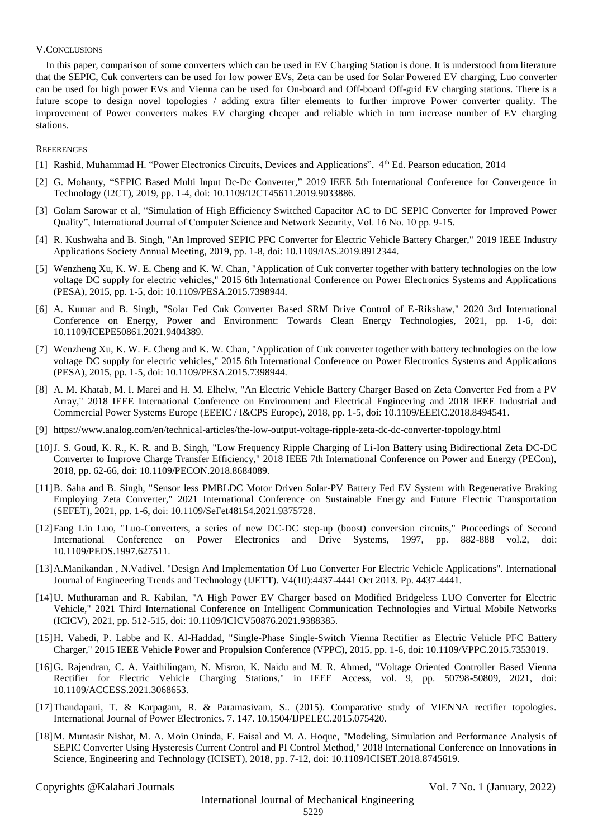## V.CONCLUSIONS

In this paper, comparison of some converters which can be used in EV Charging Station is done. It is understood from literature that the SEPIC, Cuk converters can be used for low power EVs, Zeta can be used for Solar Powered EV charging, Luo converter can be used for high power EVs and Vienna can be used for On-board and Off-board Off-grid EV charging stations. There is a future scope to design novel topologies / adding extra filter elements to further improve Power converter quality. The improvement of Power converters makes EV charging cheaper and reliable which in turn increase number of EV charging stations.

## **REFERENCES**

- [1] Rashid, Muhammad H. "Power Electronics Circuits, Devices and Applications", 4th Ed. Pearson education, 2014
- [2] G. Mohanty, "SEPIC Based Multi Input Dc-Dc Converter," 2019 IEEE 5th International Conference for Convergence in Technology (I2CT), 2019, pp. 1-4, doi: 10.1109/I2CT45611.2019.9033886.
- [3] Golam Sarowar et al, "Simulation of High Efficiency Switched Capacitor AC to DC SEPIC Converter for Improved Power Quality", International Journal of Computer Science and Network Security, Vol. 16 No. 10 pp. 9-15.
- [4] R. Kushwaha and B. Singh, "An Improved SEPIC PFC Converter for Electric Vehicle Battery Charger," 2019 IEEE Industry Applications Society Annual Meeting, 2019, pp. 1-8, doi: 10.1109/IAS.2019.8912344.
- [5] Wenzheng Xu, K. W. E. Cheng and K. W. Chan, "Application of Cuk converter together with battery technologies on the low voltage DC supply for electric vehicles," 2015 6th International Conference on Power Electronics Systems and Applications (PESA), 2015, pp. 1-5, doi: 10.1109/PESA.2015.7398944.
- [6] A. Kumar and B. Singh, "Solar Fed Cuk Converter Based SRM Drive Control of E-Rikshaw," 2020 3rd International Conference on Energy, Power and Environment: Towards Clean Energy Technologies, 2021, pp. 1-6, doi: 10.1109/ICEPE50861.2021.9404389.
- [7] Wenzheng Xu, K. W. E. Cheng and K. W. Chan, "Application of Cuk converter together with battery technologies on the low voltage DC supply for electric vehicles," 2015 6th International Conference on Power Electronics Systems and Applications (PESA), 2015, pp. 1-5, doi: 10.1109/PESA.2015.7398944.
- [8] A. M. Khatab, M. I. Marei and H. M. Elhelw, "An Electric Vehicle Battery Charger Based on Zeta Converter Fed from a PV Array," 2018 IEEE International Conference on Environment and Electrical Engineering and 2018 IEEE Industrial and Commercial Power Systems Europe (EEEIC / I&CPS Europe), 2018, pp. 1-5, doi: 10.1109/EEEIC.2018.8494541.
- [9] <https://www.analog.com/en/technical-articles/the-low-output-voltage-ripple-zeta-dc-dc-converter-topology.html>
- [10]J. S. Goud, K. R., K. R. and B. Singh, "Low Frequency Ripple Charging of Li-Ion Battery using Bidirectional Zeta DC-DC Converter to Improve Charge Transfer Efficiency," 2018 IEEE 7th International Conference on Power and Energy (PECon), 2018, pp. 62-66, doi: 10.1109/PECON.2018.8684089.
- [11]B. Saha and B. Singh, "Sensor less PMBLDC Motor Driven Solar-PV Battery Fed EV System with Regenerative Braking Employing Zeta Converter," 2021 International Conference on Sustainable Energy and Future Electric Transportation (SEFET), 2021, pp. 1-6, doi: 10.1109/SeFet48154.2021.9375728.
- [12]Fang Lin Luo, "Luo-Converters, a series of new DC-DC step-up (boost) conversion circuits," Proceedings of Second International Conference on Power Electronics and Drive Systems, 1997, pp. 882-888 vol.2, doi: 10.1109/PEDS.1997.627511.
- [13]A.Manikandan , N.Vadivel. "Design And Implementation Of Luo Converter For Electric Vehicle Applications". International Journal of Engineering Trends and Technology (IJETT). V4(10):4437-4441 Oct 2013. Pp. 4437-4441.
- [14]U. Muthuraman and R. Kabilan, "A High Power EV Charger based on Modified Bridgeless LUO Converter for Electric Vehicle," 2021 Third International Conference on Intelligent Communication Technologies and Virtual Mobile Networks (ICICV), 2021, pp. 512-515, doi: 10.1109/ICICV50876.2021.9388385.
- [15]H. Vahedi, P. Labbe and K. Al-Haddad, "Single-Phase Single-Switch Vienna Rectifier as Electric Vehicle PFC Battery Charger," 2015 IEEE Vehicle Power and Propulsion Conference (VPPC), 2015, pp. 1-6, doi: 10.1109/VPPC.2015.7353019.
- [16]G. Rajendran, C. A. Vaithilingam, N. Misron, K. Naidu and M. R. Ahmed, "Voltage Oriented Controller Based Vienna Rectifier for Electric Vehicle Charging Stations," in IEEE Access, vol. 9, pp. 50798-50809, 2021, doi: 10.1109/ACCESS.2021.3068653.
- [17]Thandapani, T. & Karpagam, R. & Paramasivam, S.. (2015). Comparative study of VIENNA rectifier topologies. International Journal of Power Electronics. 7. 147. 10.1504/IJPELEC.2015.075420.
- [18]M. Muntasir Nishat, M. A. Moin Oninda, F. Faisal and M. A. Hoque, "Modeling, Simulation and Performance Analysis of SEPIC Converter Using Hysteresis Current Control and PI Control Method," 2018 International Conference on Innovations in Science, Engineering and Technology (ICISET), 2018, pp. 7-12, doi: 10.1109/ICISET.2018.8745619.